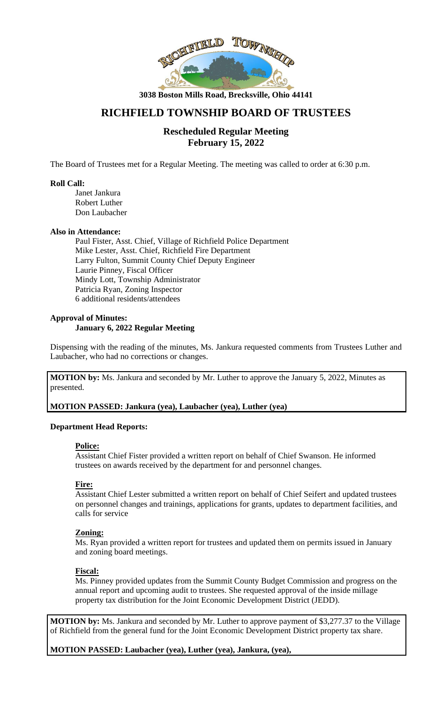

**3038 Boston Mills Road, Brecksville, Ohio 44141**

# **RICHFIELD TOWNSHIP BOARD OF TRUSTEES**

## **Rescheduled Regular Meeting February 15, 2022**

The Board of Trustees met for a Regular Meeting. The meeting was called to order at 6:30 p.m.

## **Roll Call:**

Janet Jankura Robert Luther Don Laubacher

#### **Also in Attendance:**

Paul Fister, Asst. Chief, Village of Richfield Police Department Mike Lester, Asst. Chief, Richfield Fire Department Larry Fulton, Summit County Chief Deputy Engineer Laurie Pinney, Fiscal Officer Mindy Lott, Township Administrator Patricia Ryan, Zoning Inspector 6 additional residents/attendees

#### **Approval of Minutes: January 6, 2022 Regular Meeting**

Dispensing with the reading of the minutes, Ms. Jankura requested comments from Trustees Luther and Laubacher, who had no corrections or changes.

**MOTION by:** Ms. Jankura and seconded by Mr. Luther to approve the January 5, 2022, Minutes as presented.

## **MOTION PASSED: Jankura (yea), Laubacher (yea), Luther (yea)**

## **Department Head Reports:**

## **Police:**

Assistant Chief Fister provided a written report on behalf of Chief Swanson. He informed trustees on awards received by the department for and personnel changes.

## **Fire:**

Assistant Chief Lester submitted a written report on behalf of Chief Seifert and updated trustees on personnel changes and trainings, applications for grants, updates to department facilities, and calls for service

## **Zoning:**

Ms. Ryan provided a written report for trustees and updated them on permits issued in January and zoning board meetings.

## **Fiscal:**

Ms. Pinney provided updates from the Summit County Budget Commission and progress on the annual report and upcoming audit to trustees. She requested approval of the inside millage property tax distribution for the Joint Economic Development District (JEDD).

**MOTION by:** Ms. Jankura and seconded by Mr. Luther to approve payment of \$3,277.37 to the Village of Richfield from the general fund for the Joint Economic Development District property tax share.

**MOTION PASSED: Laubacher (yea), Luther (yea), Jankura, (yea),**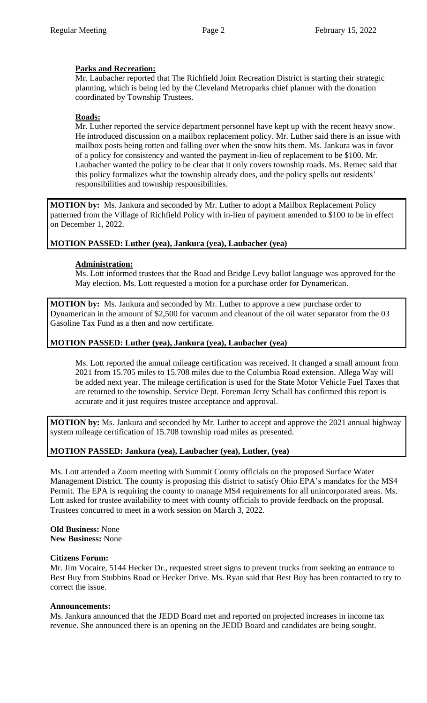## **Parks and Recreation:**

Mr. Laubacher reported that The Richfield Joint Recreation District is starting their strategic planning, which is being led by the Cleveland Metroparks chief planner with the donation coordinated by Township Trustees.

## **Roads:**

Mr. Luther reported the service department personnel have kept up with the recent heavy snow. He introduced discussion on a mailbox replacement policy. Mr. Luther said there is an issue with mailbox posts being rotten and falling over when the snow hits them. Ms. Jankura was in favor of a policy for consistency and wanted the payment in-lieu of replacement to be \$100. Mr. Laubacher wanted the policy to be clear that it only covers township roads. Ms. Remec said that this policy formalizes what the township already does, and the policy spells out residents' responsibilities and township responsibilities.

**MOTION by:** Ms. Jankura and seconded by Mr. Luther to adopt a Mailbox Replacement Policy patterned from the Village of Richfield Policy with in-lieu of payment amended to \$100 to be in effect on December 1, 2022.

## **MOTION PASSED: Luther (yea), Jankura (yea), Laubacher (yea)**

## **Administration:**

Ms. Lott informed trustees that the Road and Bridge Levy ballot language was approved for the May election. Ms. Lott requested a motion for a purchase order for Dynamerican.

**MOTION by:** Ms. Jankura and seconded by Mr. Luther to approve a new purchase order to Dynamerican in the amount of \$2,500 for vacuum and cleanout of the oil water separator from the 03 Gasoline Tax Fund as a then and now certificate.

## **MOTION PASSED: Luther (yea), Jankura (yea), Laubacher (yea)**

Ms. Lott reported the annual mileage certification was received. It changed a small amount from 2021 from 15.705 miles to 15.708 miles due to the Columbia Road extension. Allega Way will be added next year. The mileage certification is used for the State Motor Vehicle Fuel Taxes that are returned to the township. Service Dept. Foreman Jerry Schall has confirmed this report is accurate and it just requires trustee acceptance and approval.

**MOTION by:** Ms. Jankura and seconded by Mr. Luther to accept and approve the 2021 annual highway system mileage certification of 15.708 township road miles as presented.

## **MOTION PASSED: Jankura (yea), Laubacher (yea), Luther, (yea)**

Ms. Lott attended a Zoom meeting with Summit County officials on the proposed Surface Water Management District. The county is proposing this district to satisfy Ohio EPA's mandates for the MS4 Permit. The EPA is requiring the county to manage MS4 requirements for all unincorporated areas. Ms. Lott asked for trustee availability to meet with county officials to provide feedback on the proposal. Trustees concurred to meet in a work session on March 3, 2022.

#### **Old Business:** None **New Business:** None

# **Citizens Forum:**

Mr. Jim Vocaire, 5144 Hecker Dr., requested street signs to prevent trucks from seeking an entrance to Best Buy from Stubbins Road or Hecker Drive. Ms. Ryan said that Best Buy has been contacted to try to correct the issue.

## **Announcements:**

Ms. Jankura announced that the JEDD Board met and reported on projected increases in income tax revenue. She announced there is an opening on the JEDD Board and candidates are being sought.